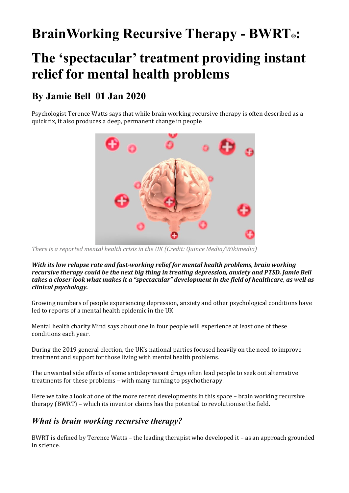## **BrainWorking Recursive Therapy - BWRT®:**

# **The 'spectacular' treatment providing instant relief for mental health problems**

### **By Jamie Bell 01 Jan 2020**

Psychologist Terence Watts says that while brain working recursive therapy is often described as a quick fix, it also produces a deep, permanent change in people



There is a reported mental health crisis in the UK (Credit: Quince Media/Wikimedia)

*With* its low relapse rate and fast-working relief for mental health problems, brain working *recursive therapy could be the next big thing in treating depression, anxiety and PTSD. Jamie Bell* takes a closer look what makes it a "spectacular" development in the field of healthcare, as well as *clinical psychology.*

Growing numbers of people experiencing depression, anxiety and other psychological conditions have led to reports of a mental health epidemic in the UK.

Mental health charity Mind says about one in four people will experience at least one of these conditions each year.

During the 2019 general election, the UK's national parties focused heavily on the need to improve treatment and support for those living with mental health problems.

The unwanted side effects of some antidepressant drugs often lead people to seek out alternative treatments for these problems - with many turning to psychotherapy.

Here we take a look at one of the more recent developments in this space - brain working recursive therapy  $(BWRT)$  – which its inventor claims has the potential to revolutionise the field.

#### *What is brain working recursive therapy?*

BWRT is defined by Terence Watts – the leading therapist who developed it – as an approach grounded in science.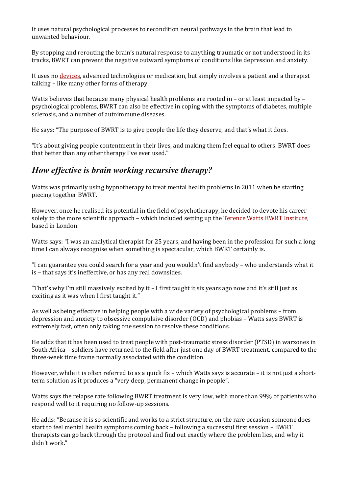It uses natural psychological processes to recondition neural pathways in the brain that lead to unwanted behaviour.

By stopping and rerouting the brain's natural response to anything traumatic or not understood in its tracks, BWRT can prevent the negative outward symptoms of conditions like depression and anxiety.

It uses no devices, advanced technologies or medication, but simply involves a patient and a therapist talking – like many other forms of therapy.

Watts believes that because many physical health problems are rooted in - or at least impacted by psychological problems, BWRT can also be effective in coping with the symptoms of diabetes, multiple sclerosis, and a number of autoimmune diseases.

He says: "The purpose of BWRT is to give people the life they deserve, and that's what it does.

"It's about giving people contentment in their lives, and making them feel equal to others. BWRT does that better than any other therapy I've ever used."

#### *How effective is brain working recursive therapy?*

Watts was primarily using hypnotherapy to treat mental health problems in 2011 when he starting piecing together BWRT.

However, once he realised its potential in the field of psychotherapy, he decided to devote his career solely to the more scientific approach - which included setting up the Terence Watts BWRT Institute, based in London.

Watts says: "I was an analytical therapist for 25 years, and having been in the profession for such a long time I can always recognise when something is spectacular, which BWRT certainly is.

"I can guarantee you could search for a year and you wouldn't find anybody – who understands what it is - that says it's ineffective, or has any real downsides.

"That's why I'm still massively excited by it - I first taught it six years ago now and it's still just as exciting as it was when I first taught it."

As well as being effective in helping people with a wide variety of psychological problems – from depression and anxiety to obsessive compulsive disorder (OCD) and phobias – Watts says BWRT is extremely fast, often only taking one session to resolve these conditions.

He adds that it has been used to treat people with post-traumatic stress disorder (PTSD) in warzones in South Africa - soldiers have returned to the field after just one day of BWRT treatment, compared to the three-week time frame normally associated with the condition.

However, while it is often referred to as a quick fix – which Watts says is accurate – it is not just a shortterm solution as it produces a "very deep, permanent change in people".

Watts says the relapse rate following BWRT treatment is very low, with more than 99% of patients who respond well to it requiring no follow-up sessions.

He adds: "Because it is so scientific and works to a strict structure, on the rare occasion someone does start to feel mental health symptoms coming back – following a successful first session – BWRT therapists can go back through the protocol and find out exactly where the problem lies, and why it didn't work."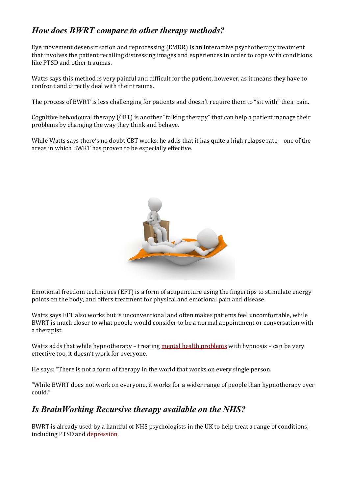### *How does BWRT compare to other therapy methods?*

Eye movement desensitisation and reprocessing (EMDR) is an interactive psychotherapy treatment that involves the patient recalling distressing images and experiences in order to cope with conditions like PTSD and other traumas.

Watts says this method is very painful and difficult for the patient, however, as it means they have to confront and directly deal with their trauma.

The process of BWRT is less challenging for patients and doesn't require them to "sit with" their pain.

Cognitive behavioural therapy (CBT) is another "talking therapy" that can help a patient manage their problems by changing the way they think and behave.

While Watts says there's no doubt CBT works, he adds that it has quite a high relapse rate – one of the areas in which BWRT has proven to be especially effective.



Emotional freedom techniques (EFT) is a form of acupuncture using the fingertips to stimulate energy points on the body, and offers treatment for physical and emotional pain and disease.

Watts says EFT also works but is unconventional and often makes patients feel uncomfortable, while BWRT is much closer to what people would consider to be a normal appointment or conversation with a therapist.

Watts adds that while hypnotherapy – treating mental health problems with hypnosis – can be very effective too, it doesn't work for everyone.

He says: "There is not a form of therapy in the world that works on every single person.

"While BWRT does not work on everyone, it works for a wider range of people than hypnotherapy ever could."

#### *Is BrainWorking Recursive therapy available on the NHS?*

BWRT is already used by a handful of NHS psychologists in the UK to help treat a range of conditions, including PTSD and depression.